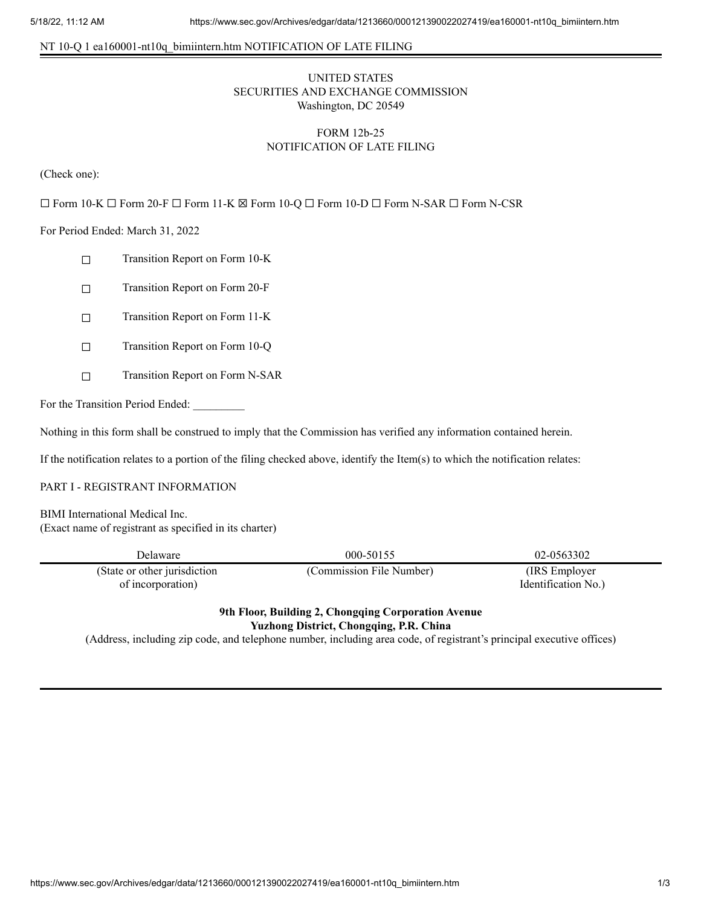#### NT 10-Q 1 ea160001-nt10q\_bimiintern.htm NOTIFICATION OF LATE FILING

# UNITED STATES SECURITIES AND EXCHANGE COMMISSION Washington, DC 20549

# FORM 12b-25 NOTIFICATION OF LATE FILING

(Check one):

☐ Form 10-K ☐ Form 20-F ☐ Form 11-K ☒ Form 10-Q ☐ Form 10-D ☐ Form N-SAR ☐ Form N-CSR

For Period Ended: March 31, 2022

- ☐ Transition Report on Form 10-K
- ☐ Transition Report on Form 20-F
- ☐ Transition Report on Form 11-K
- ☐ Transition Report on Form 10-Q
- ☐ Transition Report on Form N-SAR

For the Transition Period Ended:

Nothing in this form shall be construed to imply that the Commission has verified any information contained herein.

If the notification relates to a portion of the filing checked above, identify the Item(s) to which the notification relates:

#### PART I - REGISTRANT INFORMATION

BIMI International Medical Inc. (Exact name of registrant as specified in its charter)

| Delaware                                          | 000-50155                | 02-0563302                            |
|---------------------------------------------------|--------------------------|---------------------------------------|
| (State or other jurisdiction<br>of incorporation) | (Commission File Number) | (IRS Employer)<br>Identification No.) |

## **9th Floor, Building 2, Chongqing Corporation Avenue Yuzhong District, Chongqing, P.R. China**

(Address, including zip code, and telephone number, including area code, of registrant's principal executive offices)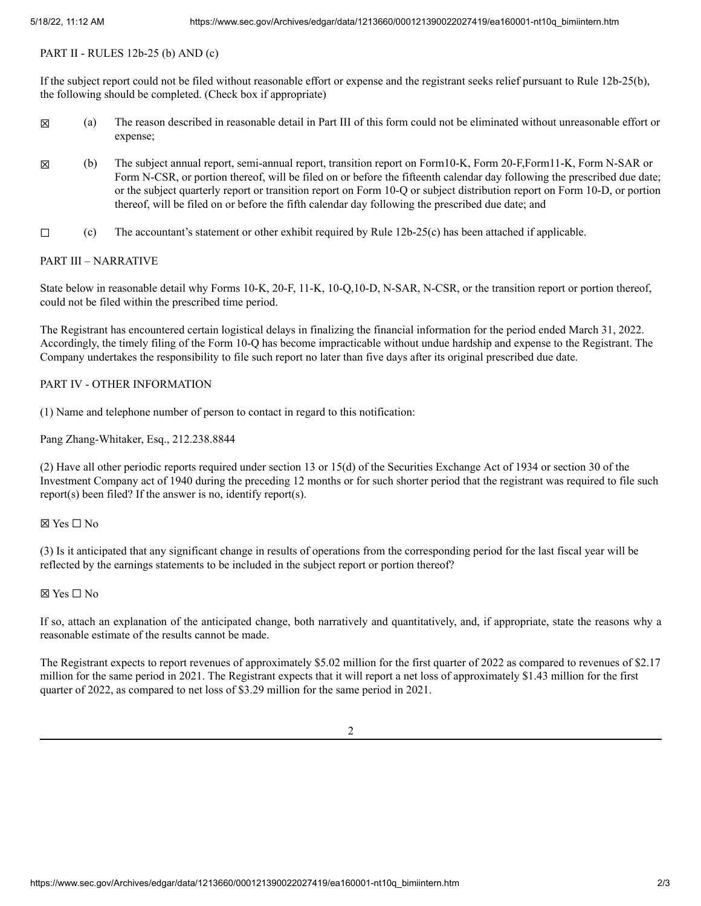#### PART II - RULES 12b-25 (b) AND (c)

If the subject report could not be filed without reasonable effort or expense and the registrant seeks relief pursuant to Rule 12b-25(b), the following should be completed. (Check box if appropriate)

- ☒ (a) The reason described in reasonable detail in Part III of this form could not be eliminated without unreasonable effort or expense;
- ☒ (b) The subject annual report, semi-annual report, transition report on Form10-K, Form 20-F,Form11-K, Form N-SAR or Form N-CSR, or portion thereof, will be filed on or before the fifteenth calendar day following the prescribed due date; or the subject quarterly report or transition report on Form 10-Q or subject distribution report on Form 10-D, or portion thereof, will be filed on or before the fifth calendar day following the prescribed due date; and
- $\Box$  (c) The accountant's statement or other exhibit required by Rule 12b-25(c) has been attached if applicable.

### PART III – NARRATIVE

State below in reasonable detail why Forms 10-K, 20-F, 11-K, 10-Q,10-D, N-SAR, N-CSR, or the transition report or portion thereof, could not be filed within the prescribed time period.

The Registrant has encountered certain logistical delays in finalizing the financial information for the period ended March 31, 2022. Accordingly, the timely filing of the Form 10-Q has become impracticable without undue hardship and expense to the Registrant. The Company undertakes the responsibility to file such report no later than five days after its original prescribed due date.

### PART IV - OTHER INFORMATION

(1) Name and telephone number of person to contact in regard to this notification:

Pang Zhang-Whitaker, Esq., 212.238.8844

(2) Have all other periodic reports required under section 13 or 15(d) of the Securities Exchange Act of 1934 or section 30 of the Investment Company act of 1940 during the preceding 12 months or for such shorter period that the registrant was required to file such report(s) been filed? If the answer is no, identify report(s).

#### ☒ Yes ☐ No

(3) Is it anticipated that any significant change in results of operations from the corresponding period for the last fiscal year will be reflected by the earnings statements to be included in the subject report or portion thereof?

### ☒ Yes ☐ No

If so, attach an explanation of the anticipated change, both narratively and quantitatively, and, if appropriate, state the reasons why a reasonable estimate of the results cannot be made.

The Registrant expects to report revenues of approximately \$5.02 million for the first quarter of 2022 as compared to revenues of \$2.17 million for the same period in 2021. The Registrant expects that it will report a net loss of approximately \$1.43 million for the first quarter of 2022, as compared to net loss of \$3.29 million for the same period in 2021.